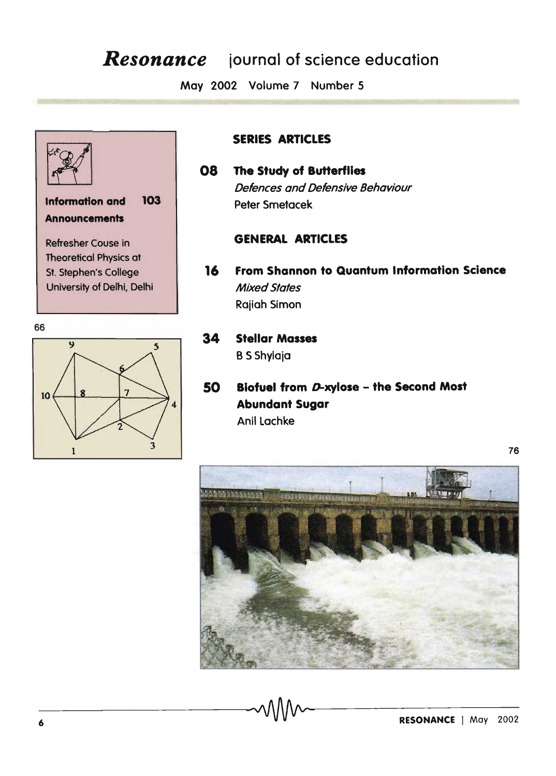# *Resonance* iournal of science education

May 2002 Volume 7 Number 5



#### SERIES ARTICLES

## 08 The Study of Butterflies Defences and Defensive Behaviour Peter Smetacek

#### GENERAL ARTICLES

- 16 From Shannon to Quantum Information Science Mixed States Rajiah Simon
- 34 Stellar Masses **B** S Shylaja
- 50 Blofuel from O-xylose the Second Most Abundant Sugar Anil Lachke